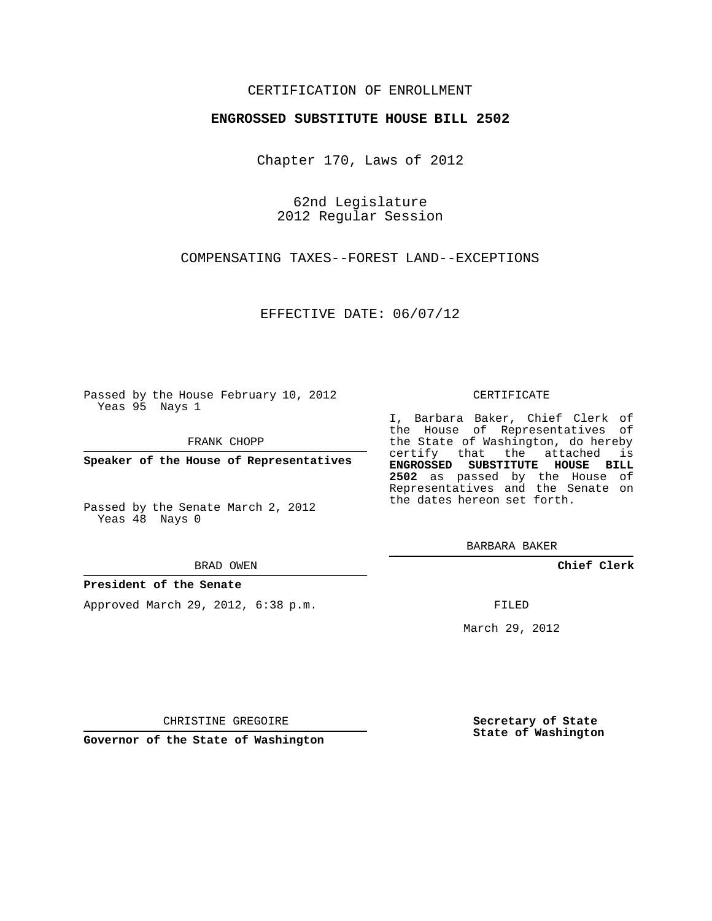## CERTIFICATION OF ENROLLMENT

## **ENGROSSED SUBSTITUTE HOUSE BILL 2502**

Chapter 170, Laws of 2012

62nd Legislature 2012 Regular Session

COMPENSATING TAXES--FOREST LAND--EXCEPTIONS

EFFECTIVE DATE: 06/07/12

Passed by the House February 10, 2012 Yeas 95 Nays 1

FRANK CHOPP

**Speaker of the House of Representatives**

Passed by the Senate March 2, 2012 Yeas 48 Nays 0

#### BRAD OWEN

## **President of the Senate**

Approved March 29, 2012, 6:38 p.m.

#### CERTIFICATE

I, Barbara Baker, Chief Clerk of the House of Representatives of the State of Washington, do hereby certify that the attached is **ENGROSSED SUBSTITUTE HOUSE BILL 2502** as passed by the House of Representatives and the Senate on the dates hereon set forth.

BARBARA BAKER

**Chief Clerk**

FILED

March 29, 2012

CHRISTINE GREGOIRE

**Governor of the State of Washington**

**Secretary of State State of Washington**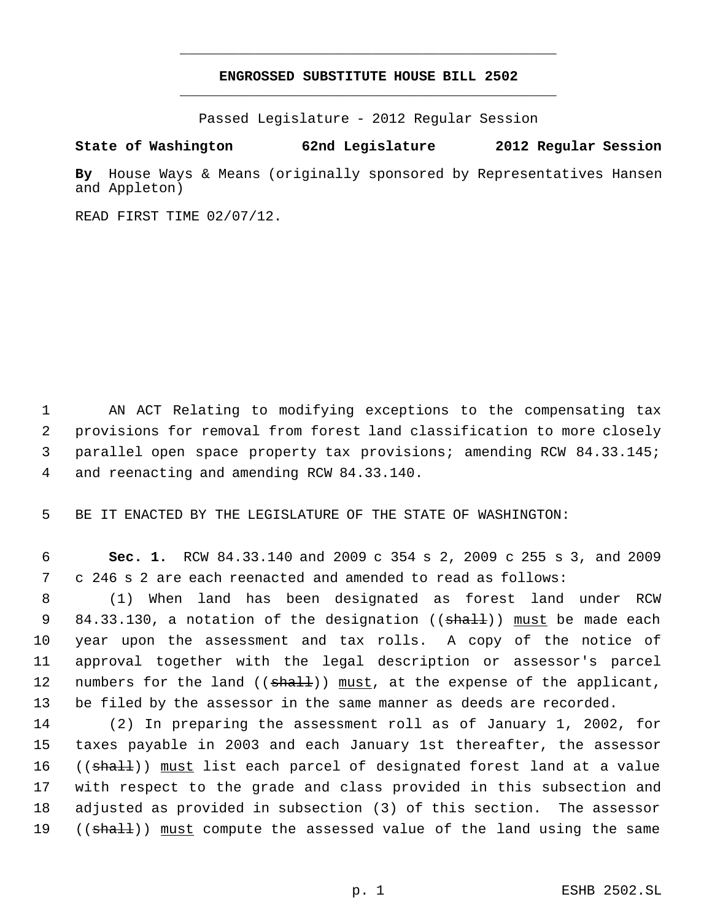# **ENGROSSED SUBSTITUTE HOUSE BILL 2502** \_\_\_\_\_\_\_\_\_\_\_\_\_\_\_\_\_\_\_\_\_\_\_\_\_\_\_\_\_\_\_\_\_\_\_\_\_\_\_\_\_\_\_\_\_

\_\_\_\_\_\_\_\_\_\_\_\_\_\_\_\_\_\_\_\_\_\_\_\_\_\_\_\_\_\_\_\_\_\_\_\_\_\_\_\_\_\_\_\_\_

Passed Legislature - 2012 Regular Session

# **State of Washington 62nd Legislature 2012 Regular Session**

**By** House Ways & Means (originally sponsored by Representatives Hansen and Appleton)

READ FIRST TIME 02/07/12.

 AN ACT Relating to modifying exceptions to the compensating tax provisions for removal from forest land classification to more closely parallel open space property tax provisions; amending RCW 84.33.145; and reenacting and amending RCW 84.33.140.

5 BE IT ENACTED BY THE LEGISLATURE OF THE STATE OF WASHINGTON:

 6 **Sec. 1.** RCW 84.33.140 and 2009 c 354 s 2, 2009 c 255 s 3, and 2009 7 c 246 s 2 are each reenacted and amended to read as follows:

 (1) When land has been designated as forest land under RCW 9 84.33.130, a notation of the designation (( $\texttt{shall}$ )) must be made each year upon the assessment and tax rolls. A copy of the notice of approval together with the legal description or assessor's parcel 12 numbers for the land ((shall)) must, at the expense of the applicant, be filed by the assessor in the same manner as deeds are recorded.

 (2) In preparing the assessment roll as of January 1, 2002, for taxes payable in 2003 and each January 1st thereafter, the assessor 16 ((shall)) must list each parcel of designated forest land at a value with respect to the grade and class provided in this subsection and adjusted as provided in subsection (3) of this section. The assessor 19 ((shall)) must compute the assessed value of the land using the same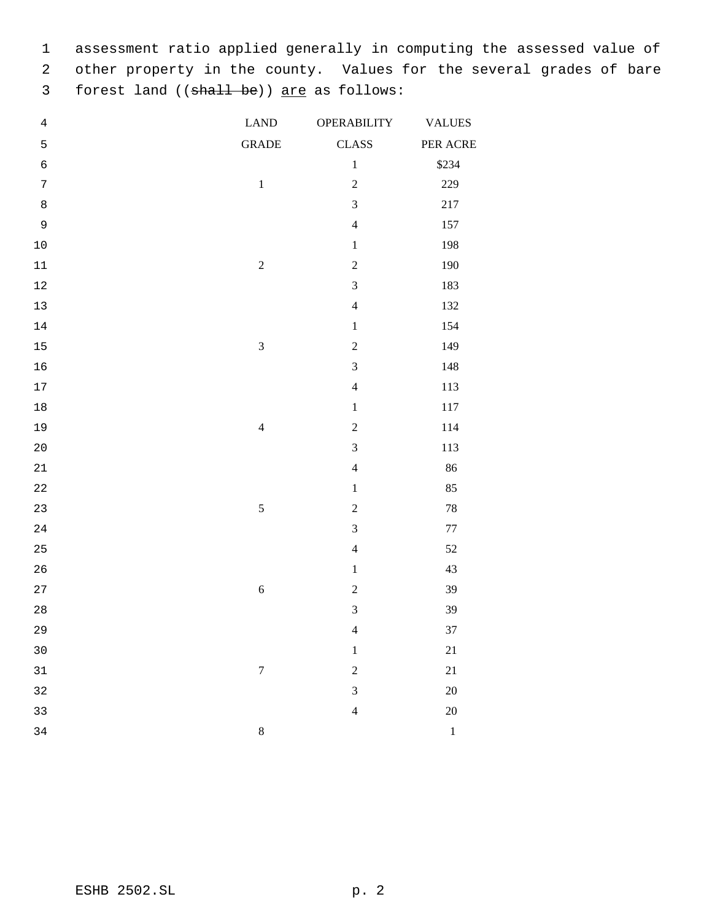assessment ratio applied generally in computing the assessed value of other property in the county. Values for the several grades of bare 3 forest land ((shall be)) are as follows:

| $\bf 4$          | <b>LAND</b>             | <b>OPERABILITY</b> | <b>VALUES</b> |
|------------------|-------------------------|--------------------|---------------|
| 5                | <b>GRADE</b>            | <b>CLASS</b>       | PER ACRE      |
| $\epsilon$       |                         | $\,1\,$            | \$234         |
| $\boldsymbol{7}$ | $\,1\,$                 | $\sqrt{2}$         | 229           |
| $\,8\,$          |                         | 3                  | $217\,$       |
| $\mathsf 9$      |                         | $\overline{4}$     | 157           |
| $10$             |                         | $\,1\,$            | 198           |
| 11               | $\sqrt{2}$              | $\sqrt{2}$         | 190           |
| 12               |                         | $\mathfrak 3$      | 183           |
| 13               |                         | $\overline{4}$     | 132           |
| 14               |                         | $\,1\,$            | 154           |
| 15               | $\mathfrak{Z}$          | $\sqrt{2}$         | 149           |
| 16               |                         | $\mathfrak{Z}$     | 148           |
| 17               |                         | $\overline{4}$     | 113           |
| 18               |                         | $\,1\,$            | 117           |
| 19               | $\overline{\mathbf{4}}$ | $\overline{c}$     | 114           |
| 20               |                         | $\mathfrak{Z}$     | 113           |
| 21               |                         | $\overline{4}$     | 86            |
| 22               |                         | $\,1\,$            | 85            |
| 23               | 5                       | $\overline{c}$     | $78\,$        |
| 24               |                         | $\overline{3}$     | $77\,$        |
| 25               |                         | $\overline{4}$     | 52            |
| 26               |                         | $\,1\,$            | 43            |
| 27               | $\sqrt{6}$              | $\overline{c}$     | 39            |
| $2\,8$           |                         | $\mathfrak{Z}$     | 39            |
| 29               |                         | $\overline{4}$     | 37            |
| 30               |                         | $\,1\,$            | 21            |
| 31               | $\boldsymbol{7}$        | $\overline{c}$     | 21            |
| 32               |                         | 3                  | 20            |
| 33               |                         | $\overline{4}$     | 20            |
| 34               | $\,8$                   |                    | $\,1\,$       |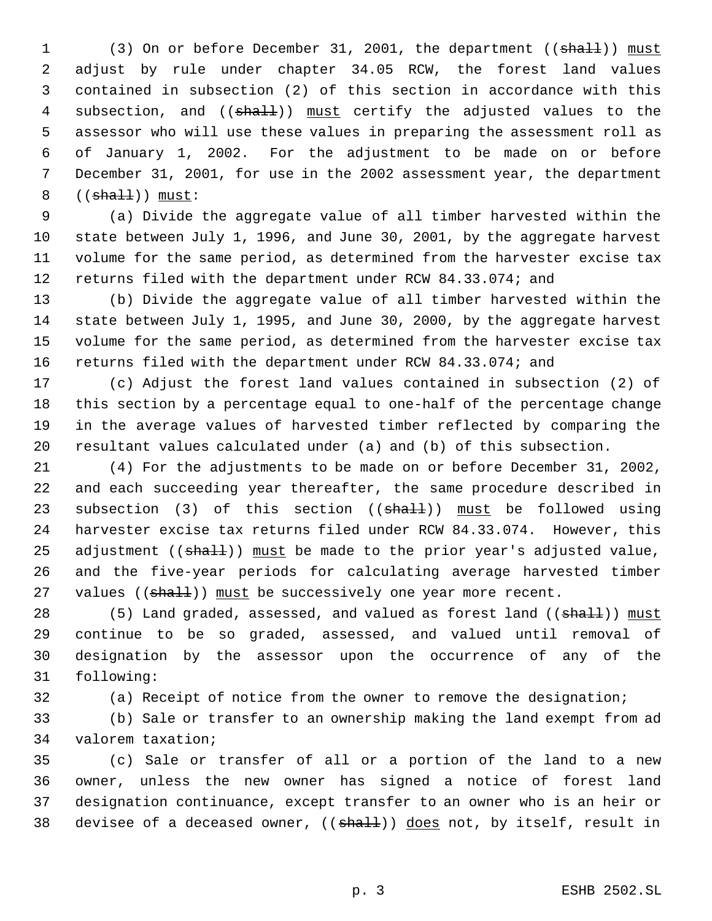1 (3) On or before December 31, 2001, the department ((shall)) must adjust by rule under chapter 34.05 RCW, the forest land values contained in subsection (2) of this section in accordance with this 4 subsection, and ((shall)) must certify the adjusted values to the assessor who will use these values in preparing the assessment roll as of January 1, 2002. For the adjustment to be made on or before December 31, 2001, for use in the 2002 assessment year, the department  $((sha11))$  must:

 (a) Divide the aggregate value of all timber harvested within the state between July 1, 1996, and June 30, 2001, by the aggregate harvest volume for the same period, as determined from the harvester excise tax returns filed with the department under RCW 84.33.074; and

 (b) Divide the aggregate value of all timber harvested within the state between July 1, 1995, and June 30, 2000, by the aggregate harvest volume for the same period, as determined from the harvester excise tax returns filed with the department under RCW 84.33.074; and

 (c) Adjust the forest land values contained in subsection (2) of this section by a percentage equal to one-half of the percentage change in the average values of harvested timber reflected by comparing the resultant values calculated under (a) and (b) of this subsection.

 (4) For the adjustments to be made on or before December 31, 2002, and each succeeding year thereafter, the same procedure described in 23 subsection (3) of this section ((shall)) must be followed using harvester excise tax returns filed under RCW 84.33.074. However, this 25 adjustment  $((\text{sha11}))$  must be made to the prior year's adjusted value, and the five-year periods for calculating average harvested timber 27 values  $((\text{shall}))$  must be successively one year more recent.

28 (5) Land graded, assessed, and valued as forest land ((shall)) must continue to be so graded, assessed, and valued until removal of designation by the assessor upon the occurrence of any of the following:

(a) Receipt of notice from the owner to remove the designation;

 (b) Sale or transfer to an ownership making the land exempt from ad valorem taxation;

 (c) Sale or transfer of all or a portion of the land to a new owner, unless the new owner has signed a notice of forest land designation continuance, except transfer to an owner who is an heir or 38 devisee of a deceased owner, ((shall)) does not, by itself, result in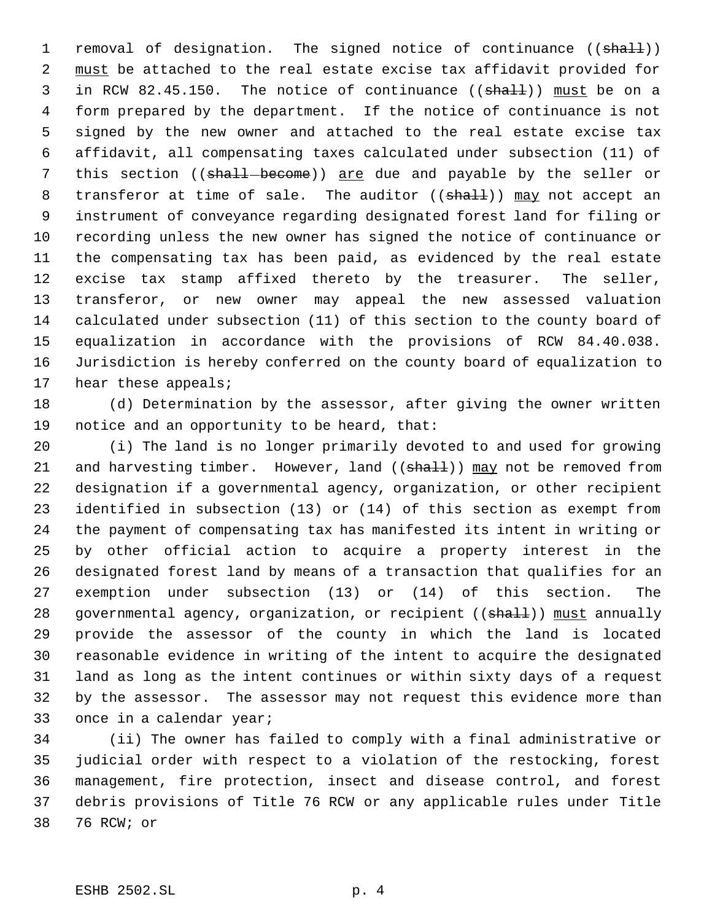1 removal of designation. The signed notice of continuance ((shall)) must be attached to the real estate excise tax affidavit provided for 3 in RCW 82.45.150. The notice of continuance ((shall)) must be on a form prepared by the department. If the notice of continuance is not signed by the new owner and attached to the real estate excise tax affidavit, all compensating taxes calculated under subsection (11) of 7 this section ((shall-become)) are due and payable by the seller or 8 transferor at time of sale. The auditor ((shall)) may not accept an instrument of conveyance regarding designated forest land for filing or recording unless the new owner has signed the notice of continuance or the compensating tax has been paid, as evidenced by the real estate excise tax stamp affixed thereto by the treasurer. The seller, transferor, or new owner may appeal the new assessed valuation calculated under subsection (11) of this section to the county board of equalization in accordance with the provisions of RCW 84.40.038. Jurisdiction is hereby conferred on the county board of equalization to 17 hear these appeals;

 (d) Determination by the assessor, after giving the owner written notice and an opportunity to be heard, that:

 (i) The land is no longer primarily devoted to and used for growing 21 and harvesting timber. However, land ((shall)) may not be removed from designation if a governmental agency, organization, or other recipient identified in subsection (13) or (14) of this section as exempt from the payment of compensating tax has manifested its intent in writing or by other official action to acquire a property interest in the designated forest land by means of a transaction that qualifies for an exemption under subsection (13) or (14) of this section. The 28 governmental agency, organization, or recipient ((shall)) must annually provide the assessor of the county in which the land is located reasonable evidence in writing of the intent to acquire the designated land as long as the intent continues or within sixty days of a request by the assessor. The assessor may not request this evidence more than once in a calendar year;

 (ii) The owner has failed to comply with a final administrative or judicial order with respect to a violation of the restocking, forest management, fire protection, insect and disease control, and forest debris provisions of Title 76 RCW or any applicable rules under Title 76 RCW; or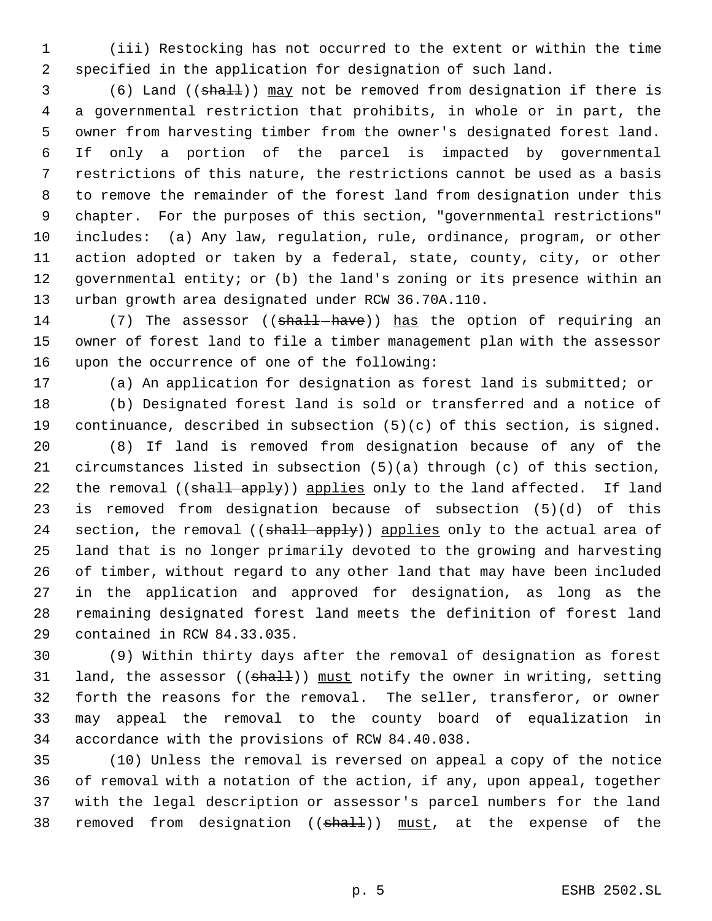(iii) Restocking has not occurred to the extent or within the time specified in the application for designation of such land.

3 (6) Land ((shall)) may not be removed from designation if there is a governmental restriction that prohibits, in whole or in part, the owner from harvesting timber from the owner's designated forest land. If only a portion of the parcel is impacted by governmental restrictions of this nature, the restrictions cannot be used as a basis to remove the remainder of the forest land from designation under this chapter. For the purposes of this section, "governmental restrictions" includes: (a) Any law, regulation, rule, ordinance, program, or other action adopted or taken by a federal, state, county, city, or other governmental entity; or (b) the land's zoning or its presence within an urban growth area designated under RCW 36.70A.110.

14 (7) The assessor ((shall-have)) has the option of requiring an owner of forest land to file a timber management plan with the assessor upon the occurrence of one of the following:

(a) An application for designation as forest land is submitted; or

 (b) Designated forest land is sold or transferred and a notice of continuance, described in subsection (5)(c) of this section, is signed.

 (8) If land is removed from designation because of any of the circumstances listed in subsection (5)(a) through (c) of this section, 22 the removal ((shall apply)) applies only to the land affected. If land is removed from designation because of subsection (5)(d) of this 24 section, the removal ((shall apply)) applies only to the actual area of land that is no longer primarily devoted to the growing and harvesting of timber, without regard to any other land that may have been included in the application and approved for designation, as long as the remaining designated forest land meets the definition of forest land contained in RCW 84.33.035.

 (9) Within thirty days after the removal of designation as forest 31 land, the assessor ((shall)) must notify the owner in writing, setting forth the reasons for the removal. The seller, transferor, or owner may appeal the removal to the county board of equalization in accordance with the provisions of RCW 84.40.038.

 (10) Unless the removal is reversed on appeal a copy of the notice of removal with a notation of the action, if any, upon appeal, together with the legal description or assessor's parcel numbers for the land 38 removed from designation ((shall)) must, at the expense of the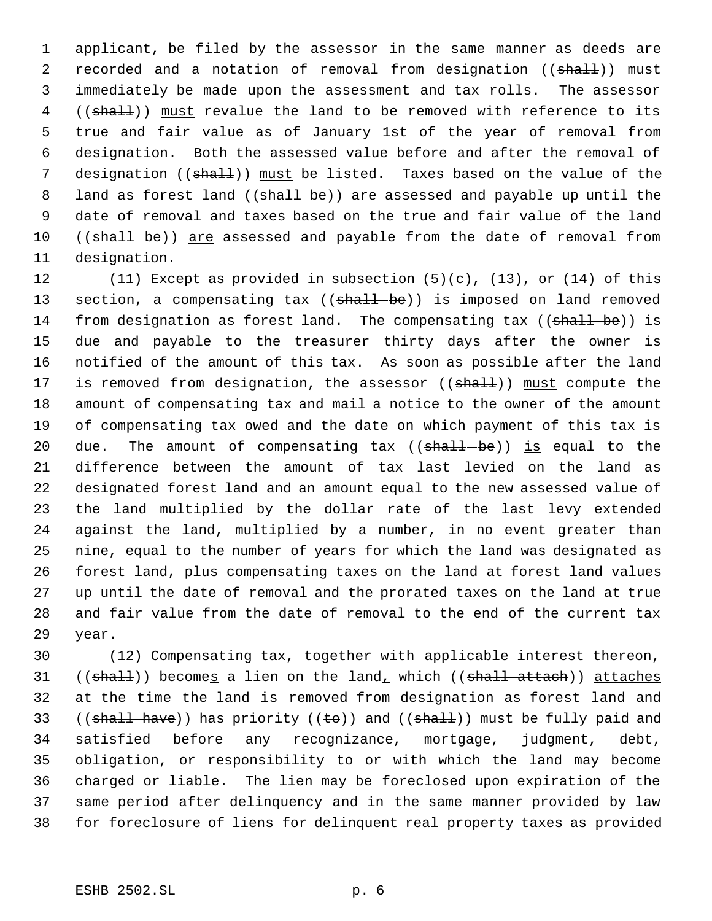applicant, be filed by the assessor in the same manner as deeds are 2 recorded and a notation of removal from designation ((shall)) must immediately be made upon the assessment and tax rolls. The assessor 4 ((shall)) must revalue the land to be removed with reference to its true and fair value as of January 1st of the year of removal from designation. Both the assessed value before and after the removal of 7 designation ((shall)) must be listed. Taxes based on the value of the 8 land as forest land ((shall be)) are assessed and payable up until the date of removal and taxes based on the true and fair value of the land 10 ((shall be)) are assessed and payable from the date of removal from designation.

 (11) Except as provided in subsection (5)(c), (13), or (14) of this 13 section, a compensating tax ((shall be)) is imposed on land removed 14 from designation as forest land. The compensating tax ((shall be)) is due and payable to the treasurer thirty days after the owner is notified of the amount of this tax. As soon as possible after the land 17 is removed from designation, the assessor ((shall)) must compute the amount of compensating tax and mail a notice to the owner of the amount of compensating tax owed and the date on which payment of this tax is 20 due. The amount of compensating tax  $((\text{shall} - \text{be}))$  is equal to the difference between the amount of tax last levied on the land as designated forest land and an amount equal to the new assessed value of the land multiplied by the dollar rate of the last levy extended against the land, multiplied by a number, in no event greater than nine, equal to the number of years for which the land was designated as forest land, plus compensating taxes on the land at forest land values up until the date of removal and the prorated taxes on the land at true and fair value from the date of removal to the end of the current tax year.

 (12) Compensating tax, together with applicable interest thereon, 31 (( $\text{shalt}$ )) becomes a lien on the land, which (( $\text{shall}$ ) attaches at the time the land is removed from designation as forest land and 33 ((shall have)) has priority (( $\pm$ o)) and (( $\sin$ all)) must be fully paid and satisfied before any recognizance, mortgage, judgment, debt, obligation, or responsibility to or with which the land may become charged or liable. The lien may be foreclosed upon expiration of the same period after delinquency and in the same manner provided by law for foreclosure of liens for delinquent real property taxes as provided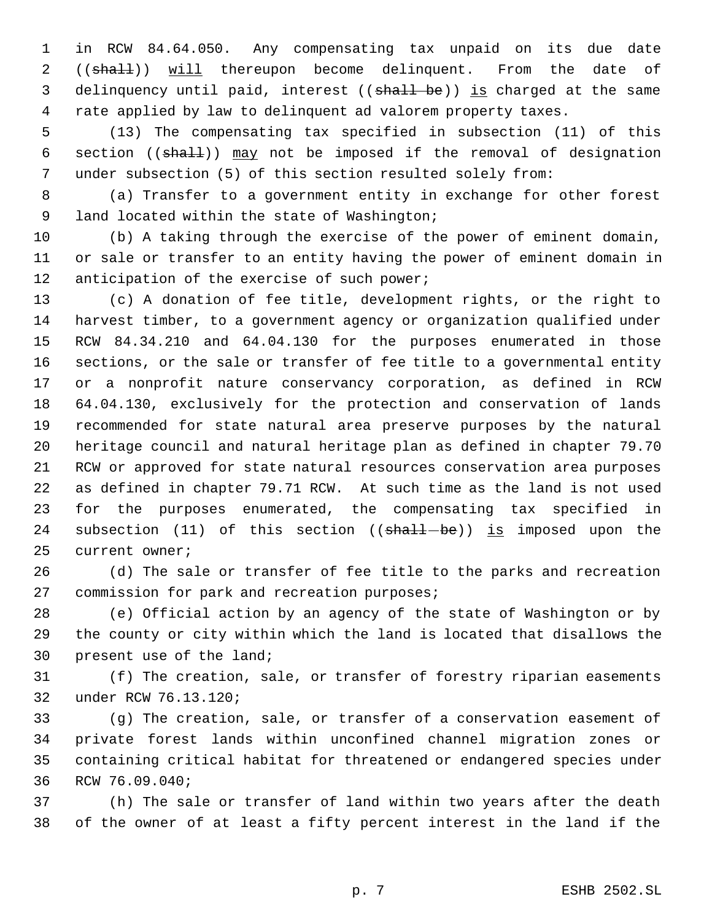in RCW 84.64.050. Any compensating tax unpaid on its due date 2 ((shall)) will thereupon become delinquent. From the date of 3 delinquency until paid, interest ((shall be)) is charged at the same rate applied by law to delinquent ad valorem property taxes.

 (13) The compensating tax specified in subsection (11) of this 6 section ((shall)) may not be imposed if the removal of designation under subsection (5) of this section resulted solely from:

 (a) Transfer to a government entity in exchange for other forest 9 land located within the state of Washington;

 (b) A taking through the exercise of the power of eminent domain, or sale or transfer to an entity having the power of eminent domain in 12 anticipation of the exercise of such power;

 (c) A donation of fee title, development rights, or the right to harvest timber, to a government agency or organization qualified under RCW 84.34.210 and 64.04.130 for the purposes enumerated in those sections, or the sale or transfer of fee title to a governmental entity or a nonprofit nature conservancy corporation, as defined in RCW 64.04.130, exclusively for the protection and conservation of lands recommended for state natural area preserve purposes by the natural heritage council and natural heritage plan as defined in chapter 79.70 RCW or approved for state natural resources conservation area purposes as defined in chapter 79.71 RCW. At such time as the land is not used for the purposes enumerated, the compensating tax specified in 24 subsection (11) of this section  $((shall - be))$  is imposed upon the current owner;

 (d) The sale or transfer of fee title to the parks and recreation commission for park and recreation purposes;

 (e) Official action by an agency of the state of Washington or by the county or city within which the land is located that disallows the present use of the land;

 (f) The creation, sale, or transfer of forestry riparian easements under RCW 76.13.120;

 (g) The creation, sale, or transfer of a conservation easement of private forest lands within unconfined channel migration zones or containing critical habitat for threatened or endangered species under RCW 76.09.040;

 (h) The sale or transfer of land within two years after the death of the owner of at least a fifty percent interest in the land if the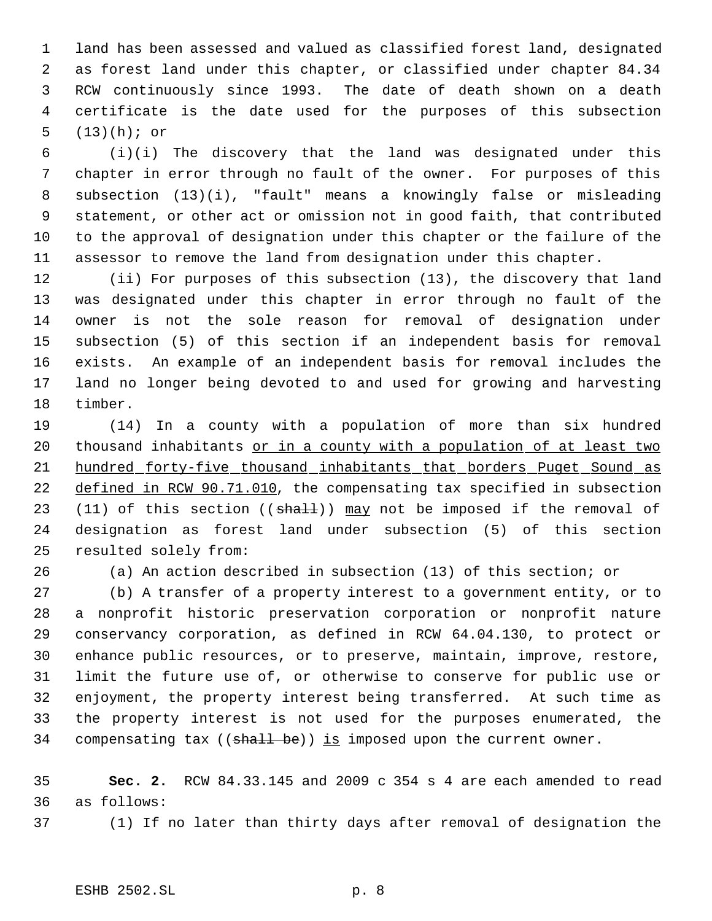land has been assessed and valued as classified forest land, designated as forest land under this chapter, or classified under chapter 84.34 RCW continuously since 1993. The date of death shown on a death certificate is the date used for the purposes of this subsection (13)(h); or

 (i)(i) The discovery that the land was designated under this chapter in error through no fault of the owner. For purposes of this subsection (13)(i), "fault" means a knowingly false or misleading statement, or other act or omission not in good faith, that contributed to the approval of designation under this chapter or the failure of the assessor to remove the land from designation under this chapter.

 (ii) For purposes of this subsection (13), the discovery that land was designated under this chapter in error through no fault of the owner is not the sole reason for removal of designation under subsection (5) of this section if an independent basis for removal exists. An example of an independent basis for removal includes the land no longer being devoted to and used for growing and harvesting timber.

 (14) In a county with a population of more than six hundred 20 thousand inhabitants or in a county with a population of at least two 21 hundred forty-five thousand inhabitants that borders Puget Sound as defined in RCW 90.71.010, the compensating tax specified in subsection 23 (11) of this section  $((shall))$  may not be imposed if the removal of designation as forest land under subsection (5) of this section resulted solely from:

(a) An action described in subsection (13) of this section; or

 (b) A transfer of a property interest to a government entity, or to a nonprofit historic preservation corporation or nonprofit nature conservancy corporation, as defined in RCW 64.04.130, to protect or enhance public resources, or to preserve, maintain, improve, restore, limit the future use of, or otherwise to conserve for public use or enjoyment, the property interest being transferred. At such time as the property interest is not used for the purposes enumerated, the 34 compensating tax  $((\text{shall} \text{ be}))$  is imposed upon the current owner.

 **Sec. 2.** RCW 84.33.145 and 2009 c 354 s 4 are each amended to read as follows:

(1) If no later than thirty days after removal of designation the